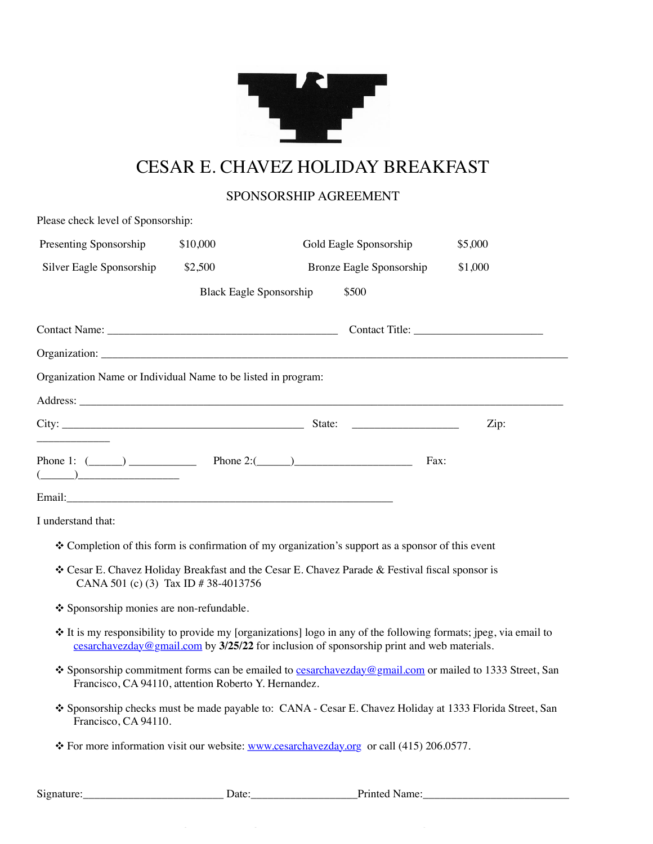

## CESAR E. CHAVEZ HOLIDAY BREAKFAST

#### SPONSORSHIP AGREEMENT

| Please check level of Sponsorship:                                                                                                                                                                                                                                                                                                                  |          |                                                                                                                                                                                                               |         |
|-----------------------------------------------------------------------------------------------------------------------------------------------------------------------------------------------------------------------------------------------------------------------------------------------------------------------------------------------------|----------|---------------------------------------------------------------------------------------------------------------------------------------------------------------------------------------------------------------|---------|
| Presenting Sponsorship                                                                                                                                                                                                                                                                                                                              | \$10,000 | Gold Eagle Sponsorship                                                                                                                                                                                        | \$5,000 |
| Silver Eagle Sponsorship                                                                                                                                                                                                                                                                                                                            | \$2,500  | Bronze Eagle Sponsorship                                                                                                                                                                                      | \$1,000 |
|                                                                                                                                                                                                                                                                                                                                                     |          | \$500<br><b>Black Eagle Sponsorship</b>                                                                                                                                                                       |         |
|                                                                                                                                                                                                                                                                                                                                                     |          |                                                                                                                                                                                                               |         |
|                                                                                                                                                                                                                                                                                                                                                     |          |                                                                                                                                                                                                               |         |
| Organization Name or Individual Name to be listed in program:                                                                                                                                                                                                                                                                                       |          |                                                                                                                                                                                                               |         |
|                                                                                                                                                                                                                                                                                                                                                     |          |                                                                                                                                                                                                               |         |
|                                                                                                                                                                                                                                                                                                                                                     |          |                                                                                                                                                                                                               | Zip:    |
| $\begin{picture}(20,10) \put(0,0){\line(1,0){10}} \put(15,0){\line(1,0){10}} \put(15,0){\line(1,0){10}} \put(15,0){\line(1,0){10}} \put(15,0){\line(1,0){10}} \put(15,0){\line(1,0){10}} \put(15,0){\line(1,0){10}} \put(15,0){\line(1,0){10}} \put(15,0){\line(1,0){10}} \put(15,0){\line(1,0){10}} \put(15,0){\line(1,0){10}} \put(15,0){\line(1$ |          | Phone 1: $(\_\_\_\_\_\_\_\_\$ Phone 2: $(\_\_\_\_\_\_\_\_\_\$                                                                                                                                                 | Fax:    |
| I understand that:                                                                                                                                                                                                                                                                                                                                  |          |                                                                                                                                                                                                               |         |
|                                                                                                                                                                                                                                                                                                                                                     |          | ❖ Completion of this form is confirmation of my organization's support as a sponsor of this event                                                                                                             |         |
| CANA 501 (c) (3) Tax ID # 38-4013756                                                                                                                                                                                                                                                                                                                |          | ❖ Cesar E. Chavez Holiday Breakfast and the Cesar E. Chavez Parade & Festival fiscal sponsor is                                                                                                               |         |
| ❖ Sponsorship monies are non-refundable.                                                                                                                                                                                                                                                                                                            |          |                                                                                                                                                                                                               |         |
|                                                                                                                                                                                                                                                                                                                                                     |          | ❖ It is my responsibility to provide my [organizations] logo in any of the following formats; jpeg, via email to<br>cesarchavezday@gmail.com by 3/25/22 for inclusion of sponsorship print and web materials. |         |
| Francisco, CA 94110, attention Roberto Y. Hernandez.                                                                                                                                                                                                                                                                                                |          | ❖ Sponsorship commitment forms can be emailed to cesarchavezday@gmail.com or mailed to 1333 Street, San                                                                                                       |         |

- ❖ Sponsorship checks must be made payable to: CANA Cesar E. Chavez Holiday at 1333 Florida Street, San Francisco, CA 94110.
- ❖ For more information visit our website: www.cesarchavezday.org or call (415) 206.0577.

| $\sim$<br>915<br>ш<br>.<br>'' | Jate | $\sim$ $\sim$ $\sim$<br>не<br>the contract of the contract of the contract of the contract of the contract of the contract of the contract of |
|-------------------------------|------|-----------------------------------------------------------------------------------------------------------------------------------------------|
|                               |      |                                                                                                                                               |